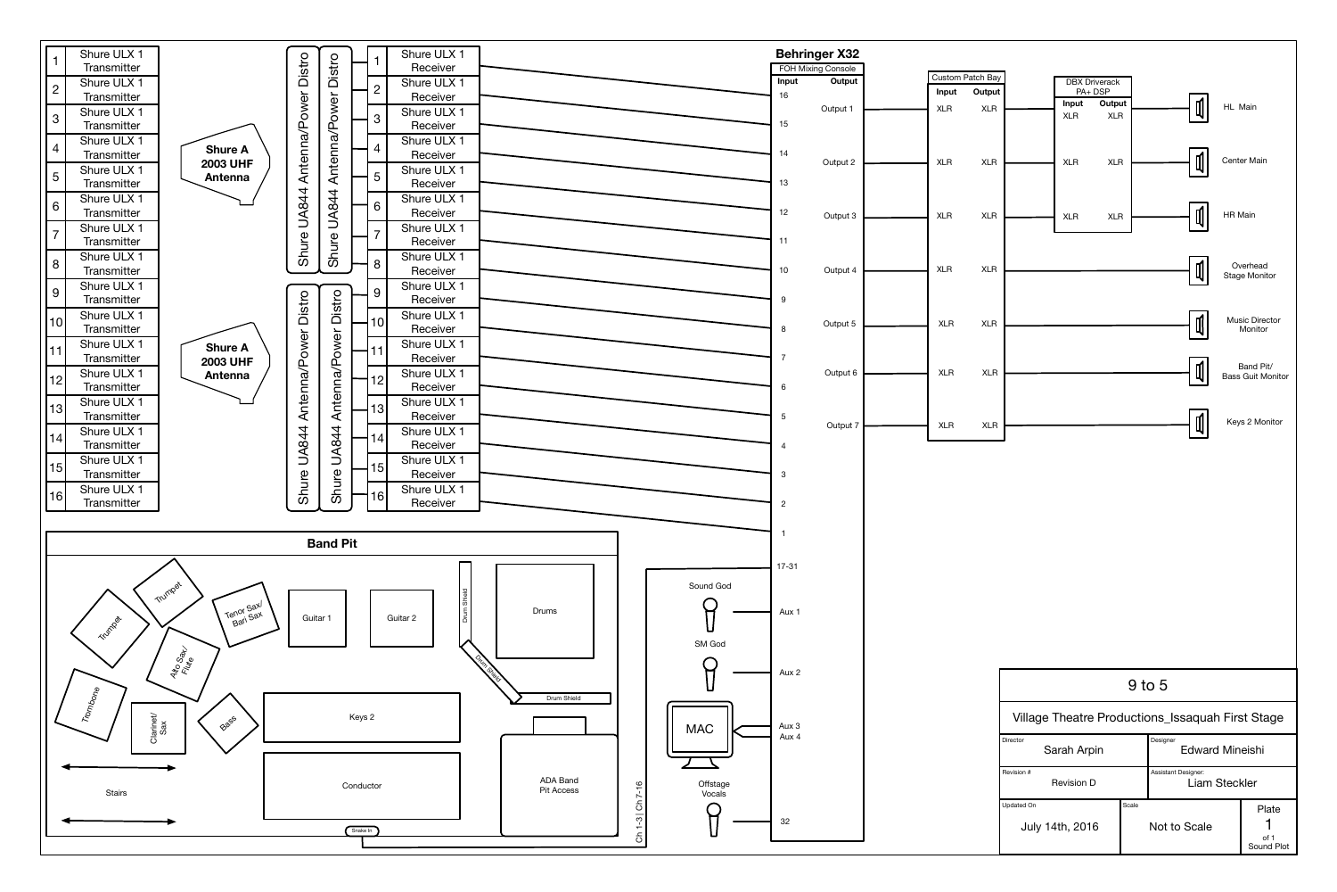|                | Shure ULX 1<br><b>Transmitter</b> |                        | Distro              |                     |                | Shure ULX 1<br>Receiver |
|----------------|-----------------------------------|------------------------|---------------------|---------------------|----------------|-------------------------|
| $\overline{2}$ | Shure ULX 1                       |                        |                     | Distro              | $\overline{2}$ | Shure ULX 1             |
|                | Transmitter                       |                        |                     |                     |                | Receiver                |
| 3              | Shure ULX 1                       |                        | UA844 Antenna/Power | Antenna/Power       | $\mathcal{S}$  | Shure ULX 1             |
|                | Transmitter                       |                        |                     |                     |                | Receiver                |
| $\overline{4}$ | Shure ULX 1                       | <b>Shure A</b>         |                     |                     | $\overline{4}$ | Shure ULX 1             |
|                | Transmitter                       | <b>2003 UHF</b>        |                     |                     |                | Receiver                |
| 5              | Shure ULX 1                       | <b>Antenna</b>         |                     |                     | 5              | Shure ULX 1             |
|                | Transmitter                       |                        |                     |                     |                | Receiver                |
| 6              | Shure ULX 1                       |                        |                     | <b>UA844</b>        | 6              | Shure ULX 1             |
|                | Transmitter                       |                        |                     |                     |                | Receiver                |
| $\overline{7}$ | Shure ULX 1                       |                        |                     |                     |                | Shure ULX 1             |
|                | <b>Transmitter</b>                |                        |                     |                     |                | Receiver                |
| 8              | Shure ULX 1                       |                        | Shure               | Shure               | 8              | Shure ULX 1             |
|                | Transmitter                       |                        |                     |                     |                | Receiver                |
| 9              | Shure ULX 1                       |                        |                     |                     | 9              | Shure ULX 1             |
|                | <b>Transmitter</b>                |                        | Distro              | Distro              |                | Receiver                |
| 10             | Shure ULX 1                       |                        |                     |                     | 10             | Shure ULX 1             |
|                | <b>Transmitter</b>                |                        |                     |                     |                | Receiver                |
| 11             | Shure ULX 1                       | <b>Shure A</b>         |                     |                     |                | Shure ULX 1             |
|                | Transmitter                       | <b>2003 UHF</b>        |                     |                     |                | Receiver                |
| 12             | Shure ULX 1                       | <b>Antenna</b>         | UA844 Antenna/Power | UA844 Antenna/Power | 12             | Shure ULX 1             |
|                | <b>Transmitter</b>                |                        |                     |                     |                | Receiver                |
| 13             | Shure ULX 1                       |                        |                     |                     | 13             | Shure ULX 1             |
|                | Transmitter                       |                        |                     |                     |                | Receiver                |
| 14             | Shure ULX 1                       |                        |                     |                     | 4              | Shure ULX 1             |
|                | <b>Transmitter</b>                |                        |                     |                     |                | Receiver                |
| 15             | Shure ULX 1                       |                        |                     |                     | 15             | Shure ULX 1             |
|                | Transmitter                       |                        |                     |                     |                | Receiver                |
| 16             | Shure ULX 1                       |                        | Shure               | Shure               | 6 <sup>1</sup> | Shure ULX 1             |
|                | <b>Transmitter</b>                |                        |                     |                     |                | Receiver                |
|                |                                   |                        |                     |                     |                |                         |
|                |                                   |                        |                     | <b>Band Pit</b>     |                |                         |
|                |                                   |                        |                     |                     |                |                         |
|                |                                   |                        |                     |                     |                |                         |
|                |                                   | Trumpet                |                     |                     |                |                         |
|                |                                   | Tenor Saxl<br>Bari Sax |                     |                     |                | <b>Drum Shield</b>      |
|                | Trumpla                           |                        | Guitar 1            |                     |                | Guitar 2                |
|                |                                   |                        |                     |                     |                |                         |
|                |                                   |                        |                     |                     |                |                         |



| <b>FOH Mixing Console</b><br>Output<br>Input<br>$16$<br>Output 1<br>15<br>14<br>Output 2<br>13<br>12<br>Output 3<br>$11$<br>Output 4<br>10<br>$9$<br>Output 5<br>$\boldsymbol{8}$<br>$\overline{7}$<br>Output 6<br>$\boldsymbol{6}$<br>5<br>Output 7<br>$\overline{4}$<br>$\mathbf{3}$<br>$\overline{2}$<br>$\mathbf{1}$<br>$17 - 31$<br>Sound God<br><b>Drums</b><br>Aux 1<br><b>SM God</b><br>Drum chiefa<br>Aux 2<br>Drum Shield<br>Aux 3<br><b>MAC</b><br>Aux 4<br><b>ADA Band</b><br>Offstage<br>Ch 1-3   Ch 7-16<br><b>Pit Access</b><br>Vocals<br>32 |   |  |  | <b>Behringer X32</b> |  |
|-------------------------------------------------------------------------------------------------------------------------------------------------------------------------------------------------------------------------------------------------------------------------------------------------------------------------------------------------------------------------------------------------------------------------------------------------------------------------------------------------------------------------------------------------------------|---|--|--|----------------------|--|
|                                                                                                                                                                                                                                                                                                                                                                                                                                                                                                                                                             |   |  |  |                      |  |
|                                                                                                                                                                                                                                                                                                                                                                                                                                                                                                                                                             |   |  |  |                      |  |
|                                                                                                                                                                                                                                                                                                                                                                                                                                                                                                                                                             |   |  |  |                      |  |
|                                                                                                                                                                                                                                                                                                                                                                                                                                                                                                                                                             |   |  |  |                      |  |
|                                                                                                                                                                                                                                                                                                                                                                                                                                                                                                                                                             |   |  |  |                      |  |
|                                                                                                                                                                                                                                                                                                                                                                                                                                                                                                                                                             |   |  |  |                      |  |
|                                                                                                                                                                                                                                                                                                                                                                                                                                                                                                                                                             |   |  |  |                      |  |
|                                                                                                                                                                                                                                                                                                                                                                                                                                                                                                                                                             |   |  |  |                      |  |
|                                                                                                                                                                                                                                                                                                                                                                                                                                                                                                                                                             |   |  |  |                      |  |
|                                                                                                                                                                                                                                                                                                                                                                                                                                                                                                                                                             |   |  |  |                      |  |
|                                                                                                                                                                                                                                                                                                                                                                                                                                                                                                                                                             |   |  |  |                      |  |
|                                                                                                                                                                                                                                                                                                                                                                                                                                                                                                                                                             |   |  |  |                      |  |
|                                                                                                                                                                                                                                                                                                                                                                                                                                                                                                                                                             |   |  |  |                      |  |
|                                                                                                                                                                                                                                                                                                                                                                                                                                                                                                                                                             |   |  |  |                      |  |
|                                                                                                                                                                                                                                                                                                                                                                                                                                                                                                                                                             |   |  |  |                      |  |
|                                                                                                                                                                                                                                                                                                                                                                                                                                                                                                                                                             |   |  |  |                      |  |
|                                                                                                                                                                                                                                                                                                                                                                                                                                                                                                                                                             |   |  |  |                      |  |
|                                                                                                                                                                                                                                                                                                                                                                                                                                                                                                                                                             |   |  |  |                      |  |
|                                                                                                                                                                                                                                                                                                                                                                                                                                                                                                                                                             |   |  |  |                      |  |
|                                                                                                                                                                                                                                                                                                                                                                                                                                                                                                                                                             |   |  |  |                      |  |
|                                                                                                                                                                                                                                                                                                                                                                                                                                                                                                                                                             |   |  |  |                      |  |
|                                                                                                                                                                                                                                                                                                                                                                                                                                                                                                                                                             |   |  |  |                      |  |
|                                                                                                                                                                                                                                                                                                                                                                                                                                                                                                                                                             |   |  |  |                      |  |
|                                                                                                                                                                                                                                                                                                                                                                                                                                                                                                                                                             | ⊇ |  |  |                      |  |
|                                                                                                                                                                                                                                                                                                                                                                                                                                                                                                                                                             |   |  |  |                      |  |
|                                                                                                                                                                                                                                                                                                                                                                                                                                                                                                                                                             |   |  |  |                      |  |
|                                                                                                                                                                                                                                                                                                                                                                                                                                                                                                                                                             |   |  |  |                      |  |
|                                                                                                                                                                                                                                                                                                                                                                                                                                                                                                                                                             |   |  |  |                      |  |
|                                                                                                                                                                                                                                                                                                                                                                                                                                                                                                                                                             |   |  |  |                      |  |
|                                                                                                                                                                                                                                                                                                                                                                                                                                                                                                                                                             |   |  |  |                      |  |
|                                                                                                                                                                                                                                                                                                                                                                                                                                                                                                                                                             |   |  |  |                      |  |



| $9$ to $5$                                                                  |       |                                                    |                                    |  |  |  |  |  |  |  |  |
|-----------------------------------------------------------------------------|-------|----------------------------------------------------|------------------------------------|--|--|--|--|--|--|--|--|
| Village Theatre Productions_Issaquah First Stage                            |       |                                                    |                                    |  |  |  |  |  |  |  |  |
| <b>Director</b><br>Designer<br><b>Edward Mineishi</b><br><b>Sarah Arpin</b> |       |                                                    |                                    |  |  |  |  |  |  |  |  |
| Revision #<br><b>Revision D</b>                                             |       | <b>Assistant Designer:</b><br><b>Liam Steckler</b> |                                    |  |  |  |  |  |  |  |  |
| <b>Updated On</b><br><b>July 14th, 2016</b>                                 | Scale | <b>Not to Scale</b>                                | Plate<br>of 1<br><b>Sound Plot</b> |  |  |  |  |  |  |  |  |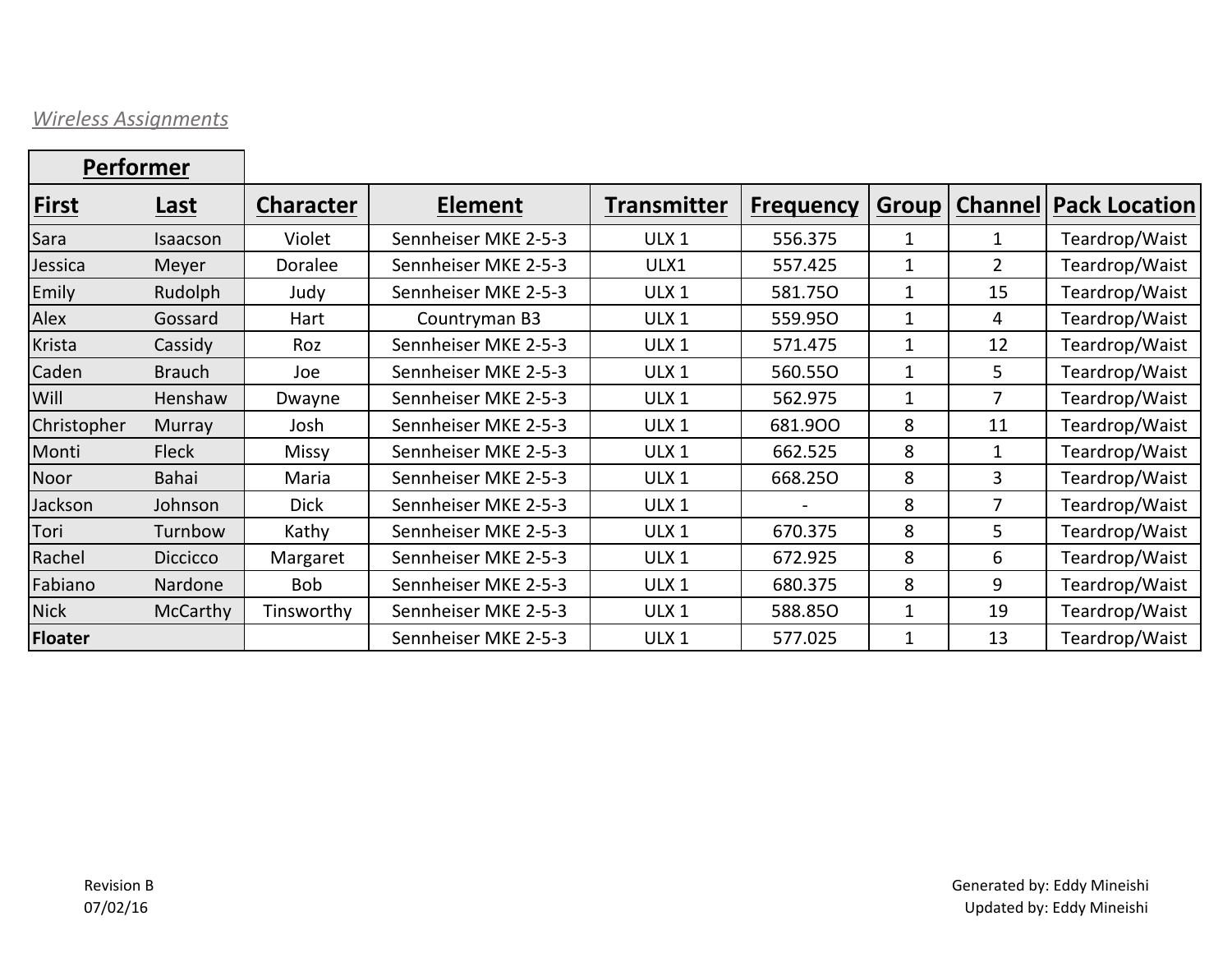## *Wireless Assignments*

| <b>Performer</b> |                 |                  |                      |                    |                  |              |                |                                |
|------------------|-----------------|------------------|----------------------|--------------------|------------------|--------------|----------------|--------------------------------|
| First            | Last            | <b>Character</b> | <b>Element</b>       | <b>Transmitter</b> | <b>Frequency</b> | <b>Group</b> |                | <b>Channel   Pack Location</b> |
| Sara             | Isaacson        | Violet           | Sennheiser MKE 2-5-3 | ULX <sub>1</sub>   | 556.375          | 1            | 1              | Teardrop/Waist                 |
| Jessica          | Meyer           | Doralee          | Sennheiser MKE 2-5-3 | ULX1               | 557.425          | 1            | $\overline{2}$ | Teardrop/Waist                 |
| Emily            | Rudolph         | Judy             | Sennheiser MKE 2-5-3 | ULX <sub>1</sub>   | 581.750          | 1            | 15             | Teardrop/Waist                 |
| Alex             | Gossard         | Hart             | Countryman B3        | ULX <sub>1</sub>   | 559.950          | 1            | 4              | Teardrop/Waist                 |
| Krista           | Cassidy         | Roz              | Sennheiser MKE 2-5-3 | ULX <sub>1</sub>   | 571.475          | 1            | 12             | Teardrop/Waist                 |
| Caden            | <b>Brauch</b>   | Joe              | Sennheiser MKE 2-5-3 | ULX <sub>1</sub>   | 560.550          | 1            | 5              | Teardrop/Waist                 |
| Will             | Henshaw         | Dwayne           | Sennheiser MKE 2-5-3 | ULX <sub>1</sub>   | 562.975          | 1            | 7              | Teardrop/Waist                 |
| Christopher      | Murray          | Josh             | Sennheiser MKE 2-5-3 | ULX <sub>1</sub>   | 681.900          | 8            | 11             | Teardrop/Waist                 |
| Monti            | <b>Fleck</b>    | <b>Missy</b>     | Sennheiser MKE 2-5-3 | ULX <sub>1</sub>   | 662.525          | 8            | 1              | Teardrop/Waist                 |
| Noor             | Bahai           | Maria            | Sennheiser MKE 2-5-3 | ULX <sub>1</sub>   | 668.250          | 8            | 3              | Teardrop/Waist                 |
| Jackson          | Johnson         | <b>Dick</b>      | Sennheiser MKE 2-5-3 | ULX <sub>1</sub>   |                  | 8            | 7              | Teardrop/Waist                 |
| Tori             | Turnbow         | Kathy            | Sennheiser MKE 2-5-3 | ULX <sub>1</sub>   | 670.375          | 8            | 5              | Teardrop/Waist                 |
| Rachel           | <b>Diccicco</b> | Margaret         | Sennheiser MKE 2-5-3 | ULX <sub>1</sub>   | 672.925          | 8            | 6              | Teardrop/Waist                 |
| Fabiano          | Nardone         | <b>Bob</b>       | Sennheiser MKE 2-5-3 | ULX <sub>1</sub>   | 680.375          | 8            | 9              | Teardrop/Waist                 |
| <b>Nick</b>      | McCarthy        | Tinsworthy       | Sennheiser MKE 2-5-3 | ULX <sub>1</sub>   | 588.850          | 1            | 19             | Teardrop/Waist                 |
| <b>Floater</b>   |                 |                  | Sennheiser MKE 2-5-3 | ULX <sub>1</sub>   | 577.025          | 1            | 13             | Teardrop/Waist                 |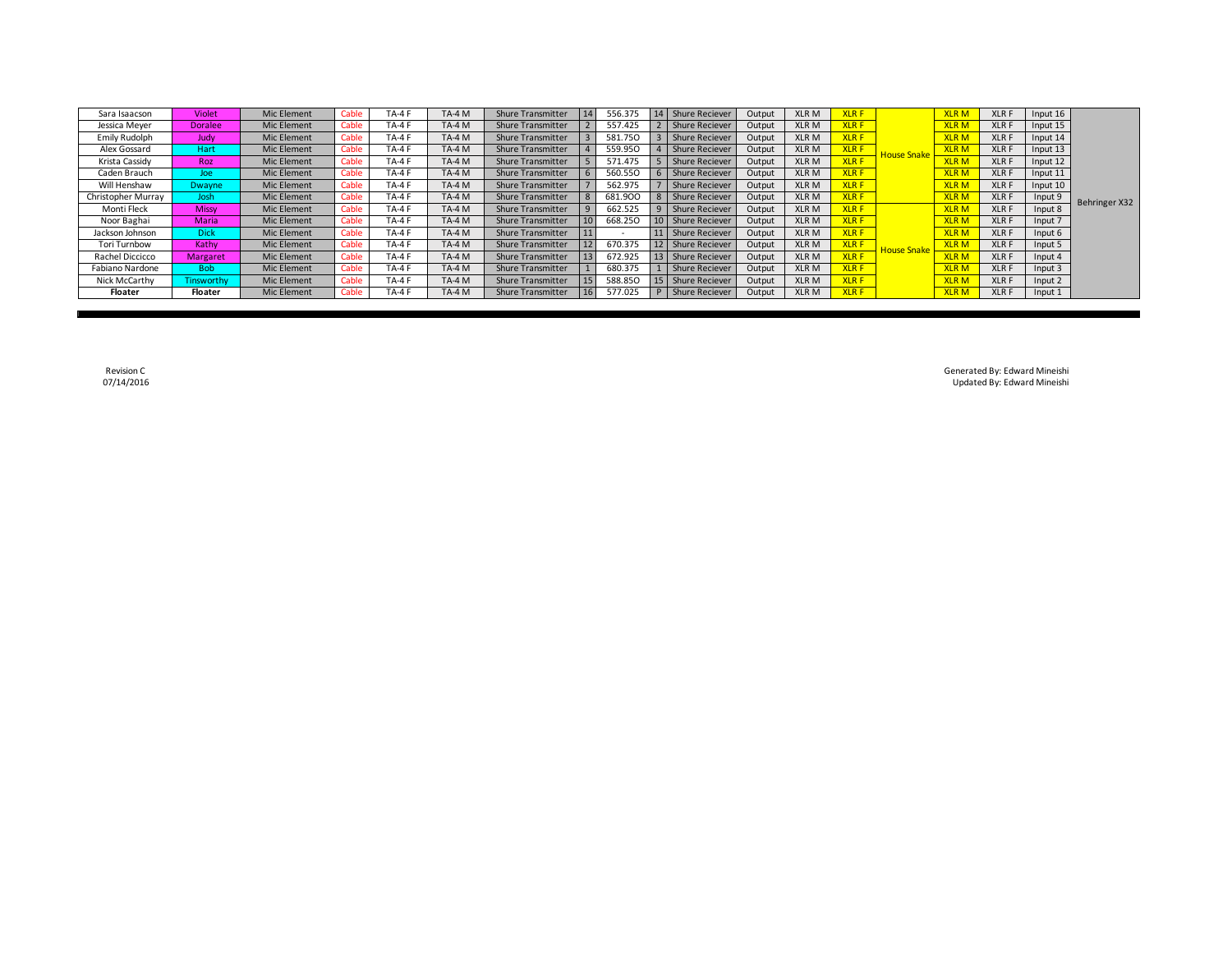| Sara Isaacson      | Violet          | Mic Element | Cable | $TA-4$        | <b>TA-4 M</b> | <b>Shure Transmitter</b> |    | 556.375 |    | <b>Shure Reciever</b> | Output | XLR M       | <b>XLRF</b> |                    | <b>XLRM</b> | <b>XLRF</b> | Input 16 |               |
|--------------------|-----------------|-------------|-------|---------------|---------------|--------------------------|----|---------|----|-----------------------|--------|-------------|-------------|--------------------|-------------|-------------|----------|---------------|
| Jessica Meyer      | <b>Doralee</b>  | Mic Element | Cable | $TA-4$        | <b>TA-4 M</b> | <b>Shure Transmitter</b> |    | 557.425 |    | <b>Shure Reciever</b> | Output | <b>XLRM</b> | <b>XLRF</b> |                    | <b>XLRM</b> | <b>XLRF</b> | Input 15 |               |
| Emily Rudolph      | Judy            | Mic Element | Cable | <b>TA-4F</b>  | <b>TA-4 M</b> | <b>Shure Transmitter</b> |    | 581.75C |    | Shure Reciever        | Output | <b>XLRM</b> | <b>XLRF</b> |                    | <b>XLRM</b> | <b>XLRF</b> | Input 14 |               |
| Alex Gossard       | Hart            | Mic Element | Cable | $TA-4F$       | TA-4 M        | <b>Shure Transmitter</b> |    | 559.950 |    | <b>Shure Reciever</b> | Output | XLR M       | <b>XLRF</b> | <b>House Snake</b> | <b>XLRM</b> | <b>XLRF</b> | Input 13 |               |
| Krista Cassidy     | Roz             | Mic Element | Cable | $TA-4F$       | TA-4 M        | <b>Shure Transmitter</b> |    | 571.475 |    | <b>Shure Reciever</b> | Output | XLR M       | <b>XLRF</b> |                    | <b>XLRM</b> | <b>XLRF</b> | Input 12 |               |
| Caden Brauch       | Joe             | Mic Element | Cable | <b>TA-4F</b>  | TA-4 M        | <b>Shure Transmitter</b> |    | 560.55C |    | 6 Shure Reciever      | Output | <b>XLRM</b> | <b>XLRF</b> |                    | <b>XLRM</b> | <b>XLRF</b> | Input 11 |               |
| Will Henshaw       | Dwayne          | Mic Element | Cable | $TA-4F$       | $TA-4M$       | <b>Shure Transmitter</b> |    | 562.975 |    | <b>Shure Reciever</b> | Output | XLR M       | <b>XLRF</b> |                    | <b>XLRM</b> | <b>XLRF</b> | Input 10 |               |
| Christopher Murray | Josh            | Mic Element | Cable | <b>TA-4 F</b> | TA-4 M        | <b>Shure Transmitter</b> |    | 681.900 |    | <b>Shure Reciever</b> | Output | XLR M       | <b>XLRF</b> |                    | <b>XLRM</b> | <b>XLRF</b> | Input 9  | Behringer X32 |
| Monti Fleck        | <b>Missy</b>    | Mic Element | Cable | $TA-4$        | TA-4 M        | <b>Shure Transmitter</b> |    | 662.525 |    | 9 Shure Reciever      | Output | XLR M       | <b>XLRF</b> |                    | <b>XLRM</b> | <b>XLRF</b> | Input 8  |               |
| Noor Baghai        | Maria           | Mic Element | Cable | $TA-4F$       | TA-4 M        | <b>Shure Transmitter</b> | 10 | 668.25C |    | 10 Shure Reciever     | Output | XLR M       | <b>XLRF</b> |                    | <b>XLRM</b> | <b>XLRF</b> | Input 7  |               |
| Jackson Johnson    | <b>Dick</b>     | Mic Element | Cable | $TA-4F$       | $TA-4M$       | <b>Shure Transmitter</b> |    |         |    | 11 Shure Reciever     | Output | <b>XLRM</b> | <b>XLRF</b> |                    | <b>XLRM</b> | <b>XLRF</b> | Input 6  |               |
| Tori Turnbow       | Kathy           | Mic Element | Cable | <b>TA-4 F</b> | TA-4 M        | <b>Shure Transmitter</b> |    | 670.375 |    | Shure Reciever        | Output | XLR M       | <b>XLRF</b> | <b>House Snake</b> | <b>XLRM</b> | <b>XLRF</b> | Input 5  |               |
| Rachel Diccicco    | <b>Margaret</b> | Mic Element | Cable | <b>TA-4F</b>  | TA-4 M        | <b>Shure Transmitter</b> |    | 672.925 |    | 13 Shure Reciever     | Output | <b>XLRM</b> | <b>XLRF</b> |                    | <b>XLRM</b> | <b>XLRF</b> | Input 4  |               |
| Fabiano Nardone    | <b>Bob</b>      | Mic Element | Cable | <b>TA-4 F</b> | TA-4 M        | <b>Shure Transmitter</b> |    | 680.375 |    | <b>Shure Reciever</b> | Output | XLR M       | <b>XLRF</b> |                    | <b>XLRM</b> | <b>XLRF</b> | Input 3  |               |
| Nick McCarthy      | Tinsworthy      | Mic Element | Cable | $TA-4F$       | TA-4 M        | <b>Shure Transmitter</b> | 15 | 588.850 | 15 | <b>Shure Reciever</b> | Output | XLR M       | <b>XLRF</b> |                    | <b>XLRM</b> | <b>XLRF</b> | Input 2  |               |
| Floater            | Floater         | Mic Element | Cable | <b>TA-4 F</b> | TA-4 M        | <b>Shure Transmitter</b> | 16 | 577.025 |    | <b>Shure Reciever</b> | Output | XLR M       | <b>XLRF</b> |                    | <b>XLRM</b> | <b>XLRF</b> | Input 1  |               |

Revision C Generated By: Edward Mineishi Updated By: Edward Mineishi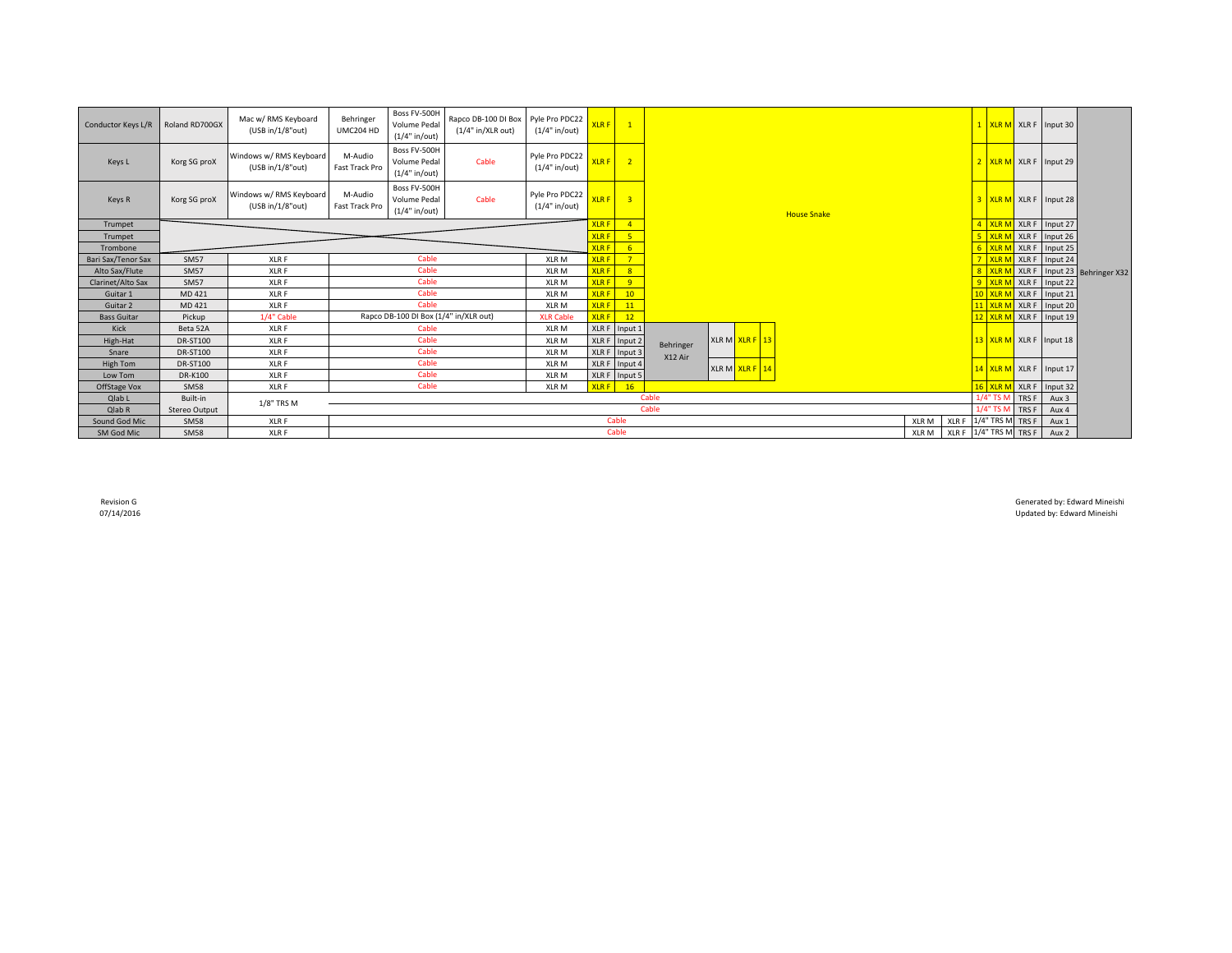| Conductor Keys L/R | Roland RD700GX  | Mac w/ RMS Keyboard<br>(USB in/1/8"out)     | Behringer<br>UMC204 HD    | Boss FV-500H<br>Volume Pedal<br>(1/4" in/out)   | Rapco DB-100 DI Box<br>(1/4" in/XLR out) | Pyle Pro PDC22<br>$(1/4"$ in/out) | <b>XLRF</b>  | $\overline{1}$             |           |                |                    |       |       |                         |                 | 1 XLR M XLR F Input 30  |                              |
|--------------------|-----------------|---------------------------------------------|---------------------------|-------------------------------------------------|------------------------------------------|-----------------------------------|--------------|----------------------------|-----------|----------------|--------------------|-------|-------|-------------------------|-----------------|-------------------------|------------------------------|
| Keys L             | Korg SG proX    | Windows w/ RMS Keyboard<br>(USB in/1/8"out) | M-Audio<br>Fast Track Pro | Boss FV-500H<br>Volume Pedal<br>(1/4" in/out)   | Cable                                    | Pyle Pro PDC22<br>(1/4" in/out)   | $XLRF$ 2     |                            |           |                |                    |       |       |                         |                 | 2 XLR M XLR F Input 29  |                              |
| Keys R             | Korg SG proX    | Windows w/ RMS Keyboard<br>(USB in/1/8"out) | M-Audio<br>Fast Track Pro | Boss FV-500H<br>Volume Pedal<br>$(1/4"$ in/out) | Cable                                    | Pyle Pro PDC22<br>$(1/4"$ in/out) | <b>XLRF</b>  | $\overline{\phantom{a}}$ 3 |           |                | <b>House Snake</b> |       |       |                         |                 | 3 XLR M XLR F Input 28  |                              |
| Trumpet            |                 |                                             |                           |                                                 |                                          |                                   | <b>XLRF</b>  | $\sqrt{4}$                 |           |                |                    |       |       | 4 XLR N                 |                 | XLR F Input 27          |                              |
| Trumpet            |                 |                                             |                           |                                                 |                                          |                                   | <b>XLR F</b> | 5 <sup>1</sup>             |           |                |                    |       |       | <b>XLR</b>              |                 | XLR F Input 26          |                              |
| Trombone           |                 |                                             |                           |                                                 |                                          |                                   | <b>XLRF</b>  | 6                          |           |                |                    |       |       | <b>XLR</b>              |                 | XLR F Input 25          |                              |
| Bari Sax/Tenor Sax | <b>SM57</b>     | XLR F                                       |                           | Cable                                           |                                          | XLR <sub>M</sub>                  | <b>XLRF</b>  | 7 <sup>7</sup>             |           |                |                    |       |       | <b>XLR</b>              |                 | XLR F Input 24          |                              |
| Alto Sax/Flute     | <b>SM57</b>     | XLR F                                       |                           | Cable                                           |                                          | XLR <sub>M</sub>                  | <b>XLRF</b>  | 8 <sup>°</sup>             |           |                |                    |       |       | 8 XLR                   |                 |                         | XLR F Input 23 Behringer X32 |
| Clarinet/Alto Sax  | <b>SM57</b>     | XLR F                                       |                           | Cable                                           |                                          | XLR <sub>M</sub>                  | <b>XLRF</b>  | -9                         |           |                |                    |       |       | <b>XLRN</b>             |                 | XLR F Input 22          |                              |
| Guitar 1           | MD 421          | XLR F                                       |                           | Cable                                           |                                          | XLR <sub>M</sub>                  | <b>XLRF</b>  | 10                         |           |                |                    |       |       |                         |                 | XLR F Input 21          |                              |
| Guitar 2           | MD 421          | XLR F                                       |                           | Cable                                           |                                          | XLR <sub>M</sub>                  | <b>XLRF</b>  | 11                         |           |                |                    |       |       | 11 XLR N                |                 | XLR F Input 20          |                              |
| <b>Bass Guitar</b> | Pickup          | 1/4" Cable                                  |                           | Rapco DB-100 DI Box (1/4" in/XLR out)           |                                          | <b>XLR Cable</b>                  | <b>XLRF</b>  | 12                         |           |                |                    |       |       | $12$ XLR $\overline{R}$ |                 | XLR F Input 19          |                              |
| Kick               | Beta 52A        | XLR F                                       |                           | Cable                                           |                                          | XLR <sub>M</sub>                  |              | XLR F Input 1              |           |                |                    |       |       |                         |                 |                         |                              |
| High-Hat           | <b>DR-ST100</b> | XLR F                                       |                           | Cable                                           |                                          | XLR <sub>M</sub>                  |              | XLR F Input 2              | Behringer | XLR M XLR F 13 |                    |       |       |                         |                 | 13 XLR M XLR F Input 18 |                              |
| Snare              | <b>DR-ST100</b> | XLR F                                       |                           | Cable                                           |                                          | XLR <sub>M</sub>                  |              | XLR F Input 3              | X12 Air   |                |                    |       |       |                         |                 |                         |                              |
| High Tom           | <b>DR-ST100</b> | XLR F                                       |                           | Cable                                           |                                          | XLR <sub>M</sub>                  | XLR F        | Input 4                    |           | XLR M XLR F 14 |                    |       |       |                         |                 | 14 XLR M XLR F Input 17 |                              |
| Low Tom            | <b>DR-K100</b>  | XLR F                                       |                           | Cable                                           |                                          | XLR <sub>M</sub>                  |              | XLR F Input 5              |           |                |                    |       |       |                         |                 |                         |                              |
| OffStage Vox       | <b>SM58</b>     | XLR F                                       |                           | Cable                                           |                                          | XLR <sub>M</sub>                  | <b>XLRF</b>  | 16                         |           |                |                    |       |       | $16$ XLR M              |                 | XLR F Input 32          |                              |
| Qlab L             | Built-in        | 1/8" TRS M                                  |                           |                                                 |                                          |                                   |              |                            | Cable     |                |                    |       |       | 1/4" TS N               | TRS F           | Aux 3                   |                              |
| Qlab R             | Stereo Output   |                                             |                           |                                                 |                                          |                                   |              |                            | Cable     |                |                    |       |       |                         | 1/4" TS M TRS F | Aux 4                   |                              |
| Sound God Mic      | <b>SM58</b>     | XLR F                                       |                           |                                                 |                                          |                                   |              | Cable                      |           |                |                    | XLR M | XLR F | 1/4" TRS M TRS F        |                 | Aux 1                   |                              |
| SM God Mic         | <b>SM58</b>     | XLR F                                       |                           |                                                 |                                          |                                   |              | Cable                      |           |                |                    | XLR M |       | XLR F 1/4" TRS M TRS F  |                 | Aux 2                   |                              |

Revision G<br>Manufactured by: Edward Mineishi<br>1999-14/2016 Updated by: Edward Mineishi Updated by: Edward Mineishi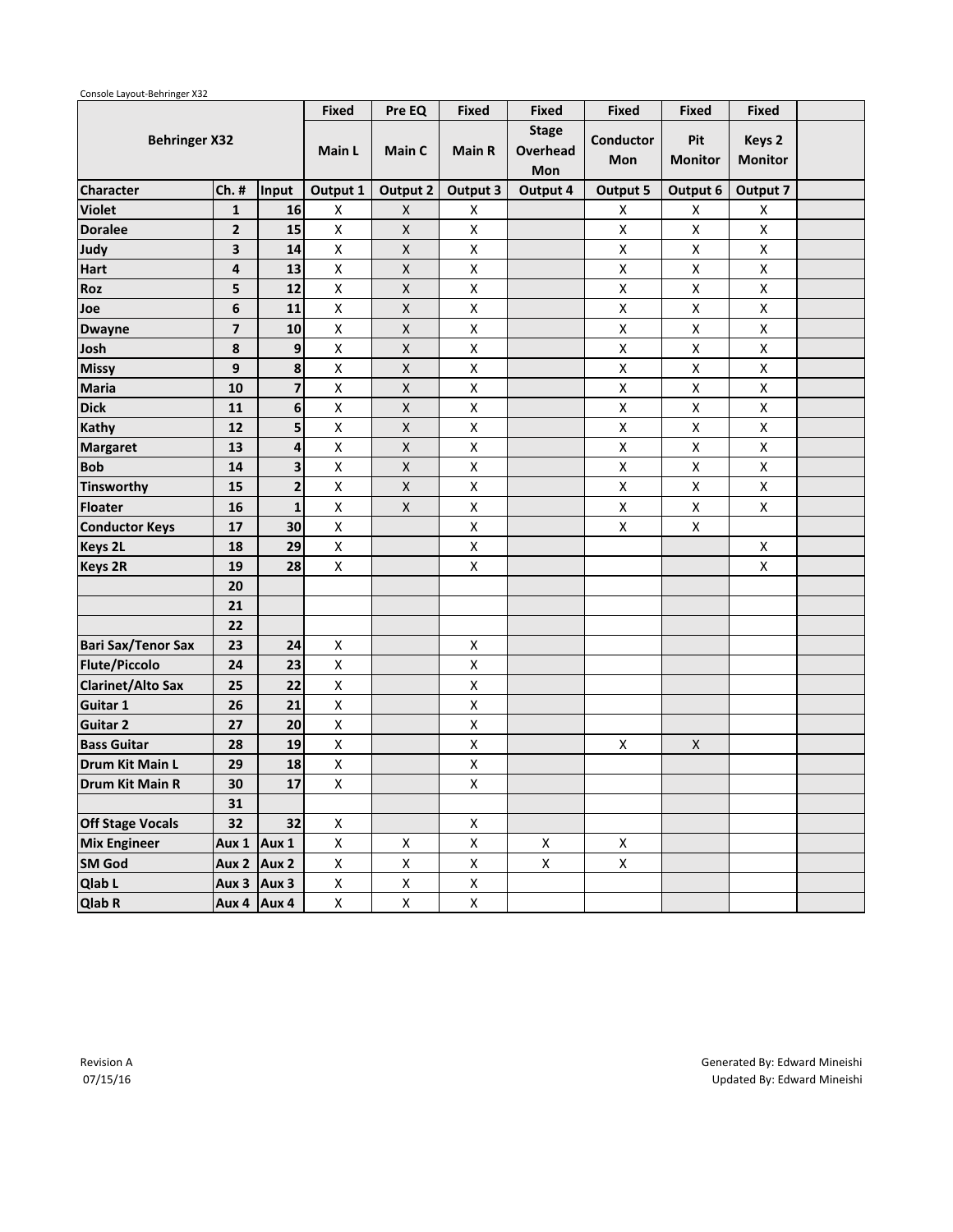|                           |                         |                         | <b>Fixed</b>       | Pre EQ             | <b>Fixed</b>       | <b>Fixed</b>                    | <b>Fixed</b>       | <b>Fixed</b>          | <b>Fixed</b>             |  |
|---------------------------|-------------------------|-------------------------|--------------------|--------------------|--------------------|---------------------------------|--------------------|-----------------------|--------------------------|--|
| <b>Behringer X32</b>      |                         |                         | Main L             | Main C             | <b>Main R</b>      | <b>Stage</b><br>Overhead<br>Mon | Conductor<br>Mon   | Pit<br><b>Monitor</b> | Keys 2<br><b>Monitor</b> |  |
| <b>Character</b>          | $Ch.$ #                 | Input                   | Output 1           | <b>Output 2</b>    | Output 3           | Output 4                        | Output 5           | Output 6              | Output 7                 |  |
| <b>Violet</b>             | $\mathbf{1}$            | 16                      | X                  | X                  | X                  |                                 | X                  | X                     | X                        |  |
| <b>Doralee</b>            | $\overline{2}$          | 15                      | $\mathsf X$        | $\pmb{\mathsf{X}}$ | $\pmb{\mathsf{X}}$ |                                 | $\pmb{\mathsf{X}}$ | Χ                     | $\pmb{\mathsf{X}}$       |  |
| Judy                      | 3                       | 14                      | $\mathsf X$        | X                  | Χ                  |                                 | $\pmb{\mathsf{X}}$ | Χ                     | $\pmb{\mathsf{X}}$       |  |
| Hart                      | 4                       | 13                      | $\mathsf X$        | $\mathsf X$        | $\pmb{\mathsf{X}}$ |                                 | $\pmb{\mathsf{X}}$ | Χ                     | $\pmb{\mathsf{X}}$       |  |
| Roz                       | 5                       | 12                      | $\pmb{\mathsf{X}}$ | X                  | $\pmb{\mathsf{X}}$ |                                 | $\pmb{\mathsf{X}}$ | Χ                     | $\pmb{\mathsf{X}}$       |  |
| Joe                       | 6                       | 11                      | $\mathsf{x}$       | $\mathsf X$        | $\pmb{\mathsf{X}}$ |                                 | $\pmb{\mathsf{X}}$ | Χ                     | $\mathsf X$              |  |
| <b>Dwayne</b>             | $\overline{\mathbf{z}}$ | 10                      | $\mathsf{x}$       | $\mathsf X$        | $\pmb{\mathsf{X}}$ |                                 | $\pmb{\mathsf{X}}$ | Χ                     | $\pmb{\mathsf{X}}$       |  |
| Josh                      | 8                       | 9                       | $\mathsf X$        | $\mathsf X$        | $\pmb{\mathsf{X}}$ |                                 | $\pmb{\mathsf{X}}$ | Χ                     | $\pmb{\mathsf{X}}$       |  |
| <b>Missy</b>              | 9                       | 8                       | $\pmb{\mathsf{X}}$ | $\mathsf X$        | $\pmb{\mathsf{X}}$ |                                 | $\pmb{\mathsf{X}}$ | Χ                     | $\pmb{\mathsf{X}}$       |  |
| <b>Maria</b>              | 10                      | $\overline{\mathbf{z}}$ | $\pmb{\mathsf{X}}$ | $\pmb{\mathsf{X}}$ | $\pmb{\mathsf{X}}$ |                                 | $\pmb{\mathsf{X}}$ | Χ                     | $\pmb{\mathsf{X}}$       |  |
| <b>Dick</b>               | 11                      | 6                       | $\pmb{\mathsf{X}}$ | X                  | $\pmb{\mathsf{X}}$ |                                 | $\pmb{\mathsf{X}}$ | Χ                     | $\pmb{\mathsf{X}}$       |  |
| Kathy                     | 12                      | 5                       | $\pmb{\mathsf{X}}$ | $\pmb{\mathsf{X}}$ | $\pmb{\mathsf{X}}$ |                                 | $\pmb{\mathsf{X}}$ | Χ                     | $\pmb{\mathsf{X}}$       |  |
| <b>Margaret</b>           | 13                      | 4                       | $\pmb{\mathsf{X}}$ | X                  | Χ                  |                                 | $\pmb{\mathsf{X}}$ | Χ                     | $\pmb{\mathsf{X}}$       |  |
| <b>Bob</b>                | 14                      | 3                       | X                  | X                  | Χ                  |                                 | X                  | X                     | $\pmb{\mathsf{X}}$       |  |
| <b>Tinsworthy</b>         | 15                      | $\overline{\mathbf{2}}$ | Χ                  | $\pmb{\mathsf{X}}$ | $\pmb{\mathsf{X}}$ |                                 | $\pmb{\mathsf{X}}$ | Χ                     | $\pmb{\mathsf{X}}$       |  |
| <b>Floater</b>            | 16                      | $\mathbf{1}$            | $\pmb{\mathsf{X}}$ | X                  | Χ                  |                                 | X                  | Χ                     | $\pmb{\mathsf{X}}$       |  |
| <b>Conductor Keys</b>     | 17                      | 30                      | $\pmb{\mathsf{X}}$ |                    | $\pmb{\mathsf{X}}$ |                                 | $\pmb{\mathsf{X}}$ | Χ                     |                          |  |
| <b>Keys 2L</b>            | 18                      | 29                      | $\pmb{\mathsf{X}}$ |                    | $\pmb{\mathsf{X}}$ |                                 |                    |                       | X                        |  |
| <b>Keys 2R</b>            | 19                      | 28                      | $\mathsf{x}$       |                    | $\pmb{\mathsf{X}}$ |                                 |                    |                       | $\pmb{\times}$           |  |
|                           | 20                      |                         |                    |                    |                    |                                 |                    |                       |                          |  |
|                           | 21                      |                         |                    |                    |                    |                                 |                    |                       |                          |  |
|                           | 22                      |                         |                    |                    |                    |                                 |                    |                       |                          |  |
| <b>Bari Sax/Tenor Sax</b> | 23                      | 24                      | $\pmb{\mathsf{X}}$ |                    | Χ                  |                                 |                    |                       |                          |  |
| <b>Flute/Piccolo</b>      | 24                      | 23                      | $\mathsf{x}$       |                    | Χ                  |                                 |                    |                       |                          |  |
| <b>Clarinet/Alto Sax</b>  | 25                      | 22                      | $\pmb{\mathsf{X}}$ |                    | $\pmb{\mathsf{X}}$ |                                 |                    |                       |                          |  |
| Guitar 1                  | 26                      | 21                      | Χ                  |                    | $\pmb{\mathsf{X}}$ |                                 |                    |                       |                          |  |
| <b>Guitar 2</b>           | 27                      | 20                      | $\pmb{\mathsf{X}}$ |                    | $\pmb{\mathsf{X}}$ |                                 |                    |                       |                          |  |
| <b>Bass Guitar</b>        | 28                      | 19                      | $\pmb{\mathsf{X}}$ |                    | Χ                  |                                 | X                  | X                     |                          |  |
| Drum Kit Main L           | 29                      | 18                      | $\pmb{\mathsf{X}}$ |                    | $\pmb{\mathsf{X}}$ |                                 |                    |                       |                          |  |
| <b>Drum Kit Main R</b>    | 30                      | 17                      | X                  |                    | Χ                  |                                 |                    |                       |                          |  |
|                           | 31                      |                         |                    |                    |                    |                                 |                    |                       |                          |  |
| <b>Off Stage Vocals</b>   | 32                      | 32                      | $\mathsf{X}$       |                    | X                  |                                 |                    |                       |                          |  |
| <b>Mix Engineer</b>       | Aux 1 Aux 1             |                         | $\pmb{\mathsf{X}}$ | $\mathsf X$        | $\mathsf X$        | X                               | $\mathsf X$        |                       |                          |  |
| <b>SM</b> God             |                         | Aux $2$ Aux $2$         | $\mathsf X$        | $\mathsf X$        | $\pmb{\mathsf{X}}$ | X                               | $\mathsf X$        |                       |                          |  |
| Qlab L                    |                         | Aux $3$ Aux $3$         | $\mathsf{X}$       | $\mathsf X$        | $\pmb{\mathsf{X}}$ |                                 |                    |                       |                          |  |
| Qlab R                    |                         | Aux 4 Aux 4             | $\mathsf{X}^-$     | $\mathsf X$        | $\mathsf X$        |                                 |                    |                       |                          |  |